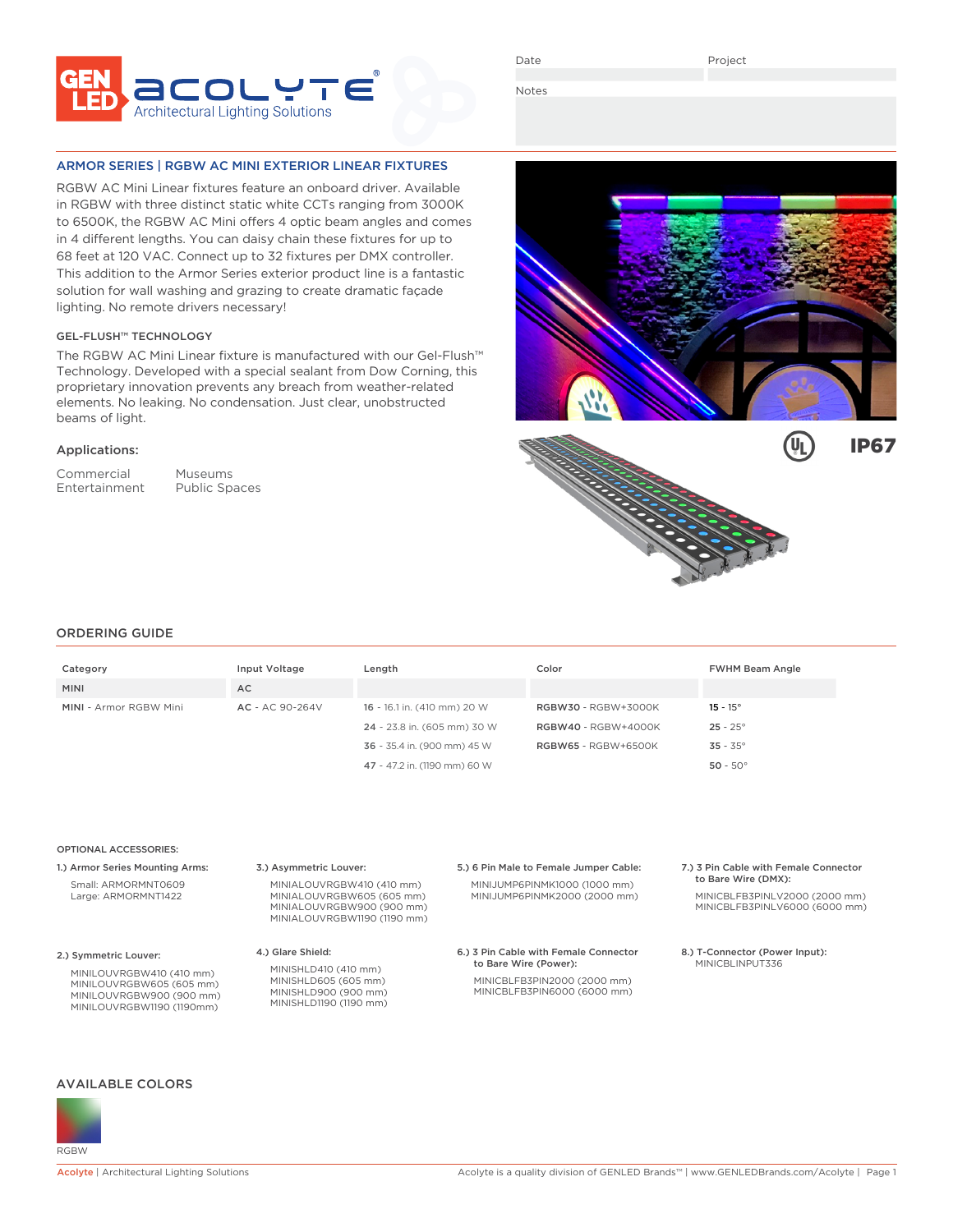

Date

Notes

## ARMOR SERIES | RGBW AC MINI EXTERIOR LINEAR FIXTURES

RGBW AC Mini Linear fixtures feature an onboard driver. Available in RGBW with three distinct static white CCTs ranging from 3000K to 6500K, the RGBW AC Mini offers 4 optic beam angles and comes in 4 different lengths. You can daisy chain these fixtures for up to 68 feet at 120 VAC. Connect up to 32 fixtures per DMX controller. This addition to the Armor Series exterior product line is a fantastic solution for wall washing and grazing to create dramatic façade lighting. No remote drivers necessary!

## GEL-FLUSH™ TECHNOLOGY

The RGBW AC Mini Linear fixture is manufactured with our Gel-Flush™ Technology. Developed with a special sealant from Dow Corning, this proprietary innovation prevents any breach from weather-related elements. No leaking. No condensation. Just clear, unobstructed beams of light.

## Applications:

Commercial Museums Entertainment Public Spaces





# ORDERING GUIDE

| Category                      | Input Voltage   | Length                       | Color                      | <b>FWHM Beam Angle</b> |
|-------------------------------|-----------------|------------------------------|----------------------------|------------------------|
| <b>MINI</b>                   | <b>AC</b>       |                              |                            |                        |
| <b>MINI - Armor RGBW Mini</b> | AC - AC 90-264V | 16 - 16.1 in. (410 mm) 20 W  | <b>RGBW30 - RGBW+3000K</b> | $15 - 15^{\circ}$      |
|                               |                 | 24 - 23.8 in. (605 mm) 30 W  | <b>RGBW40</b> - RGBW+4000K | $25 - 25^{\circ}$      |
|                               |                 | 36 - 35.4 in. (900 mm) 45 W  | <b>RGBW65 - RGBW+6500K</b> | $35 - 35^{\circ}$      |
|                               |                 | 47 - 47.2 in. (1190 mm) 60 W |                            | $50 - 50^{\circ}$      |

### OPTIONAL ACCESSORIES:

1.) Armor Series Mounting Arms: Small: ARMORMNT0609 Large: ARMORMNT1422

2.) Symmetric Louver:

MINILOUVRGBW410 (410 mm) MINILOUVRGBW605 (605 mm) MINILOUVRGBW900 (900 mm) MINILOUVRGBW1190 (1190mm)

3.) Asymmetric Louver:

MINIALOUVRGBW605 (605 mm) MINIALOUVRGBW900 (900 mm) MINIALOUVRGBW1190 (1190 mm)

MINIALOUVRGBW410 (410 mm)

4.) Glare Shield:

MINISHLD410 (410 mm) MINISHLD605 (605 mm) MINISHLD900 (900 mm) MINISHLD1190 (1190 mm) 5.) 6 Pin Male to Female Jumper Cable: MINIJUMP6PINMK1000 (1000 mm)

MINIJUMP6PINMK2000 (2000 mm)

6.) 3 Pin Cable with Female Connector to Bare Wire (Power): MINICBLFB3PIN2000 (2000 mm) MINICBLFB3PIN6000 (6000 mm)

#### 7.) 3 Pin Cable with Female Connector to Bare Wire (DMX):

MINICBLFB3PINLV2000 (2000 mm) MINICBLFB3PINLV6000 (6000 mm)

8.) T-Connector (Power Input): MINICBI INPUT336

## AVAILABLE COLORS

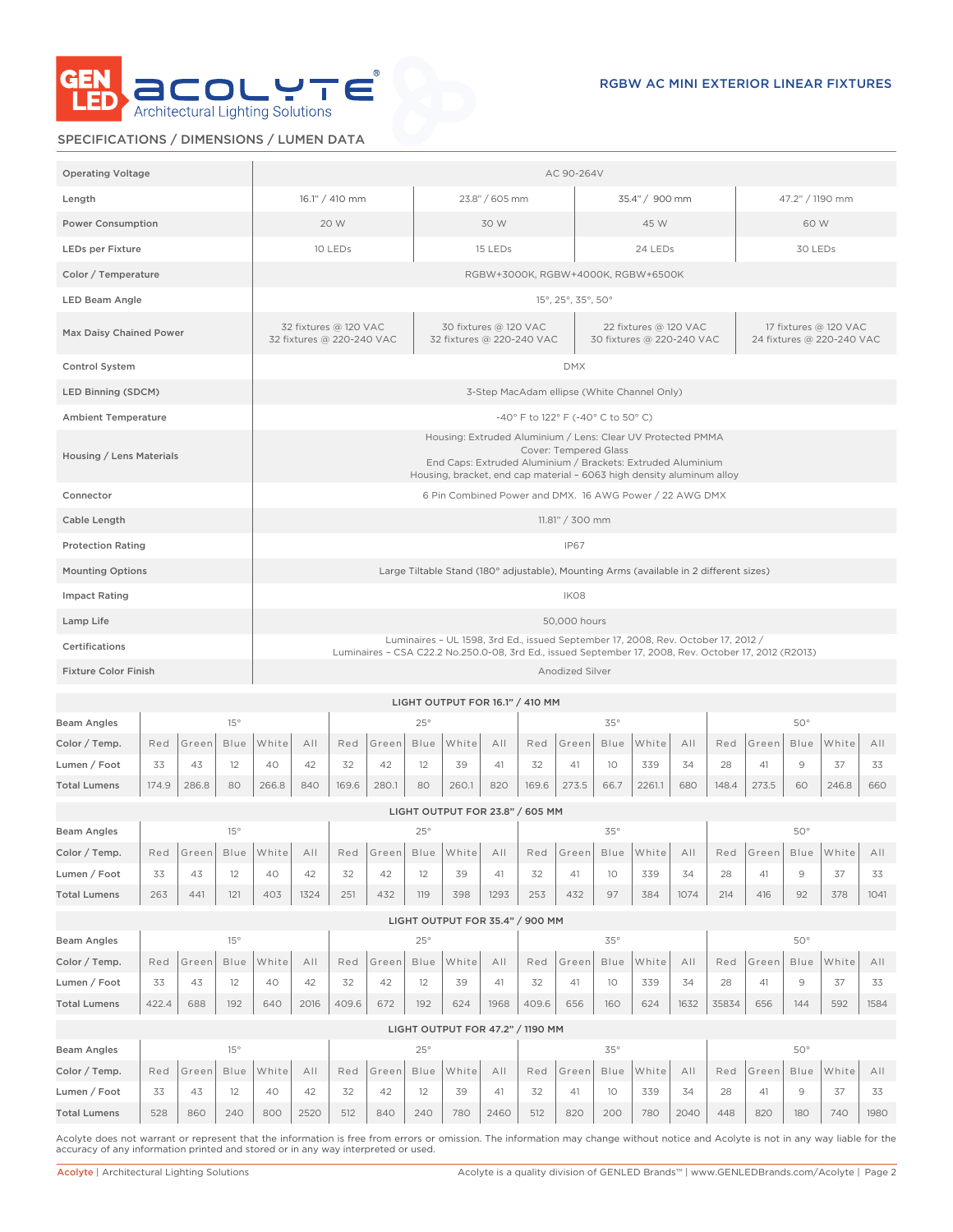

# SPECIFICATIONS / DIMENSIONS / LUMEN DATA

| <b>Operating Voltage</b>     |                                                                                                                                                                                            |                |             | AC 90-264V                                                                                                                                                                                                                   |      |       |                 |                |                                                         |             |                 |                                                    |         |                                    |              |                 |                                                    |               |            |      |
|------------------------------|--------------------------------------------------------------------------------------------------------------------------------------------------------------------------------------------|----------------|-------------|------------------------------------------------------------------------------------------------------------------------------------------------------------------------------------------------------------------------------|------|-------|-----------------|----------------|---------------------------------------------------------|-------------|-----------------|----------------------------------------------------|---------|------------------------------------|--------------|-----------------|----------------------------------------------------|---------------|------------|------|
| Length                       |                                                                                                                                                                                            | 16.1" / 410 mm |             |                                                                                                                                                                                                                              |      |       |                 | 23.8" / 605 mm |                                                         |             |                 | 35.4" / 900 mm                                     |         |                                    |              | 47.2" / 1190 mm |                                                    |               |            |      |
| <b>Power Consumption</b>     |                                                                                                                                                                                            | 20 W           |             |                                                                                                                                                                                                                              |      |       |                 |                | 30 W                                                    |             |                 | 45 W                                               |         |                                    |              | 60 W            |                                                    |               |            |      |
| <b>LEDs per Fixture</b>      |                                                                                                                                                                                            |                |             | 10 LEDs<br>15 LEDs                                                                                                                                                                                                           |      |       |                 |                |                                                         |             |                 |                                                    | 24 LEDs |                                    |              |                 | 30 LEDs                                            |               |            |      |
| Color / Temperature          |                                                                                                                                                                                            |                |             |                                                                                                                                                                                                                              |      |       |                 |                |                                                         |             |                 |                                                    |         | RGBW+3000K, RGBW+4000K, RGBW+6500K |              |                 |                                                    |               |            |      |
| <b>LED Beam Angle</b>        |                                                                                                                                                                                            |                |             | 15°, 25°, 35°, 50°                                                                                                                                                                                                           |      |       |                 |                |                                                         |             |                 |                                                    |         |                                    |              |                 |                                                    |               |            |      |
| Max Daisy Chained Power      |                                                                                                                                                                                            |                |             | 32 fixtures @ 120 VAC<br>30 fixtures @ 120 VAC<br>32 fixtures @ 220-240 VAC<br>32 fixtures @ 220-240 VAC                                                                                                                     |      |       |                 |                |                                                         |             |                 | 22 fixtures @ 120 VAC<br>30 fixtures @ 220-240 VAC |         |                                    |              |                 | 17 fixtures @ 120 VAC<br>24 fixtures @ 220-240 VAC |               |            |      |
| Control System               |                                                                                                                                                                                            |                |             | <b>DMX</b>                                                                                                                                                                                                                   |      |       |                 |                |                                                         |             |                 |                                                    |         |                                    |              |                 |                                                    |               |            |      |
| LED Binning (SDCM)           |                                                                                                                                                                                            |                |             |                                                                                                                                                                                                                              |      |       |                 |                |                                                         |             |                 | 3-Step MacAdam ellipse (White Channel Only)        |         |                                    |              |                 |                                                    |               |            |      |
| <b>Ambient Temperature</b>   |                                                                                                                                                                                            |                |             |                                                                                                                                                                                                                              |      |       |                 |                |                                                         |             |                 | -40° F to 122° F (-40° C to 50° C)                 |         |                                    |              |                 |                                                    |               |            |      |
| Housing / Lens Materials     |                                                                                                                                                                                            |                |             | Housing: Extruded Aluminium / Lens: Clear UV Protected PMMA<br>Cover: Tempered Glass<br>End Caps: Extruded Aluminium / Brackets: Extruded Aluminium<br>Housing, bracket, end cap material - 6063 high density aluminum alloy |      |       |                 |                |                                                         |             |                 |                                                    |         |                                    |              |                 |                                                    |               |            |      |
| Connector                    |                                                                                                                                                                                            |                |             |                                                                                                                                                                                                                              |      |       |                 |                | 6 Pin Combined Power and DMX. 16 AWG Power / 22 AWG DMX |             |                 |                                                    |         |                                    |              |                 |                                                    |               |            |      |
| Cable Length                 |                                                                                                                                                                                            |                |             |                                                                                                                                                                                                                              |      |       |                 |                |                                                         |             | 11.81" / 300 mm |                                                    |         |                                    |              |                 |                                                    |               |            |      |
| <b>Protection Rating</b>     |                                                                                                                                                                                            |                |             |                                                                                                                                                                                                                              |      |       |                 |                |                                                         | <b>IP67</b> |                 |                                                    |         |                                    |              |                 |                                                    |               |            |      |
| <b>Mounting Options</b>      | Large Tiltable Stand (180° adjustable), Mounting Arms (available in 2 different sizes)                                                                                                     |                |             |                                                                                                                                                                                                                              |      |       |                 |                |                                                         |             |                 |                                                    |         |                                    |              |                 |                                                    |               |            |      |
| <b>Impact Rating</b>         |                                                                                                                                                                                            |                |             |                                                                                                                                                                                                                              |      |       |                 | IK08           |                                                         |             |                 |                                                    |         |                                    |              |                 |                                                    |               |            |      |
| Lamp Life                    |                                                                                                                                                                                            |                |             |                                                                                                                                                                                                                              |      |       |                 |                | 50,000 hours                                            |             |                 |                                                    |         |                                    |              |                 |                                                    |               |            |      |
| Certifications               | Luminaires - UL 1598, 3rd Ed., issued September 17, 2008, Rev. October 17, 2012 /<br>Luminaires - CSA C22.2 No.250.0-08, 3rd Ed., issued September 17, 2008, Rev. October 17, 2012 (R2013) |                |             |                                                                                                                                                                                                                              |      |       |                 |                |                                                         |             |                 |                                                    |         |                                    |              |                 |                                                    |               |            |      |
|                              | <b>Fixture Color Finish</b>                                                                                                                                                                |                |             |                                                                                                                                                                                                                              |      |       | Anodized Silver |                |                                                         |             |                 |                                                    |         |                                    |              |                 |                                                    |               |            |      |
|                              |                                                                                                                                                                                            |                |             |                                                                                                                                                                                                                              |      |       |                 |                | LIGHT OUTPUT FOR 16.1" / 410 MM                         |             |                 |                                                    |         |                                    |              |                 |                                                    |               |            |      |
| <b>Beam Angles</b>           | 15°                                                                                                                                                                                        |                |             |                                                                                                                                                                                                                              |      | 25°   |                 |                |                                                         |             |                 | $35^\circ$                                         |         |                                    |              |                 | 50°                                                |               |            |      |
| Color / Temp.                | Red                                                                                                                                                                                        | Green          | Blue        | White                                                                                                                                                                                                                        | AII  | Red   | Green           | Blue           | White                                                   | AII         | Red             | Green                                              | Blue    | White                              | AII          | Red             | Green                                              | Blue          | White      | All  |
| Lumen / Foot                 | 33                                                                                                                                                                                         | 43             | 12          | 40                                                                                                                                                                                                                           | 42   | 32    | 42              | 12             | 39                                                      | 41          | 32              | 41                                                 | 10      | 339                                | 34           | 28              | 41                                                 | $\mathcal{G}$ | 37         | 33   |
| <b>Total Lumens</b>          | 174.9                                                                                                                                                                                      | 286.8          | 80          | 266.8                                                                                                                                                                                                                        | 840  | 169.6 | 280.1           | 80             | 260.1                                                   | 820         | 169.6           | 273.5                                              | 66.7    | 2261.1                             | 680          | 148.4           | 273.5                                              | 60            | 246.8      | 660  |
|                              |                                                                                                                                                                                            |                |             |                                                                                                                                                                                                                              |      |       |                 |                | LIGHT OUTPUT FOR 23.8" / 605 MM                         |             |                 |                                                    |         |                                    |              |                 |                                                    |               |            |      |
| Beam Angles<br>Color / Temp. |                                                                                                                                                                                            | Red Green      | 15°<br>Blue | White All                                                                                                                                                                                                                    |      |       | Red Green       | 25°            | Blue White All Red Green                                |             |                 |                                                    | 35°     | Blue White All Red Green           |              |                 |                                                    | 50°           | Blue White | A    |
| Lumen / Foot                 | 33                                                                                                                                                                                         | 43             | 12          | 40                                                                                                                                                                                                                           | 42   | 32    | 42              | 12             | 39                                                      | 41          | 32              | 41                                                 | 10      | 339                                | 34           | 28              | 41                                                 | $\mathcal G$  | 37         | 33   |
| <b>Total Lumens</b>          | 263                                                                                                                                                                                        | 441            | 121         | 403                                                                                                                                                                                                                          | 1324 | 251   | 432             | 119            | 398                                                     | 1293        | 253             | 432                                                | 97      | 384                                | 1074         | 214             | 416                                                | 92            | 378        | 1041 |
|                              | LIGHT OUTPUT FOR 35.4" / 900 MM                                                                                                                                                            |                |             |                                                                                                                                                                                                                              |      |       |                 |                |                                                         |             |                 |                                                    |         |                                    |              |                 |                                                    |               |            |      |
| <b>Beam Angles</b>           |                                                                                                                                                                                            | 15°<br>25°     |             |                                                                                                                                                                                                                              |      |       | 50°<br>35°      |                |                                                         |             |                 |                                                    |         |                                    |              |                 |                                                    |               |            |      |
| Color / Temp.                | Red                                                                                                                                                                                        | Green          | Blue        | White                                                                                                                                                                                                                        | AII  | Red   | Green           | Blue           | White                                                   | All         | Red             | Green                                              | Blue    | White                              | A            | Red             | Green                                              | Blue          | White      | A    |
| Lumen / Foot                 | 33                                                                                                                                                                                         | 43             | 12          | 40                                                                                                                                                                                                                           | 42   | 32    | 42              | 12             | 39                                                      | 41          | 32              | 41                                                 | 10      | 339                                | 34           | 28              | 41                                                 | $\mathcal G$  | 37         | 33   |
| <b>Total Lumens</b>          | 422.4                                                                                                                                                                                      | 688            | 192         | 640                                                                                                                                                                                                                          | 2016 | 409.6 | 672             | 192            | 624                                                     | 1968        | 409.6           | 656                                                | 160     | 624                                | 1632         | 35834           | 656                                                | 144           | 592        | 1584 |
|                              |                                                                                                                                                                                            |                |             |                                                                                                                                                                                                                              |      |       |                 |                | LIGHT OUTPUT FOR 47.2" / 1190 MM                        |             |                 |                                                    |         |                                    |              |                 |                                                    |               |            |      |
| <b>Beam Angles</b>           |                                                                                                                                                                                            |                | 25°<br>15°  |                                                                                                                                                                                                                              |      |       |                 |                |                                                         |             | $35^\circ$      |                                                    |         |                                    | $50^{\circ}$ |                 |                                                    |               |            |      |
| Color / Temp.                | Red                                                                                                                                                                                        | Green          | Blue        | White                                                                                                                                                                                                                        | A    | Red   | Green           | Blue           | White                                                   | All         | Red             | Green                                              | Blue    | White                              | A            | Red             | Green                                              | Blue          | White      | All  |
| Lumen / Foot                 | 33                                                                                                                                                                                         | 43             | 12          | 40                                                                                                                                                                                                                           | 42   | 32    | 42              | 12             | 39                                                      | 41          | 32              | 41                                                 | 10      | 339                                | 34           | 28              | 41                                                 | $\mathcal{G}$ | 37         | 33   |
| <b>Total Lumens</b>          | 528                                                                                                                                                                                        | 860            | 240         | 800                                                                                                                                                                                                                          | 2520 | 512   | 840             | 240            | 780                                                     | 2460        | 512             | 820                                                | 200     | 780                                | 2040         | 448             | 820                                                | 180           | 740        | 1980 |

Acolyte does not warrant or represent that the information is free from errors or omission. The information may change without notice and Acolyte is not in any way liable for the accuracy of any information printed and stored or in any way interpreted or used.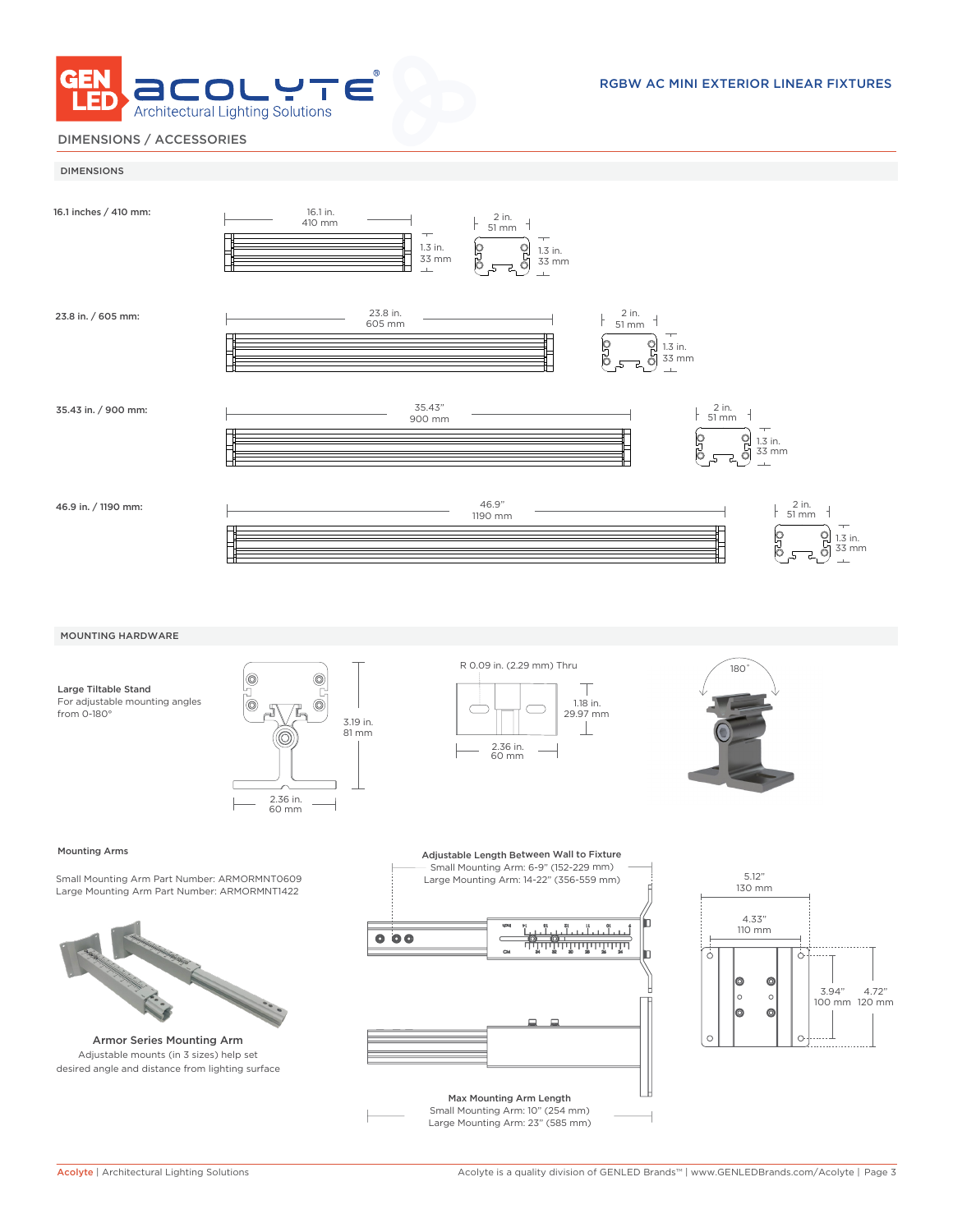

# DIMENSIONS / ACCESSORIES



#### Mounting Arms

Small Mounting Arm Part Number: ARMORMNT0609 Large Mounting Arm Part Number: ARMORMNT1422



Armor Series Mounting Arm Adjustable mounts (in 3 sizes) help set desired angle and distance from lighting surface



Max Mounting Arm Length Small Mounting Arm: 10" (254 mm) Large Mounting Arm: 23" (585 mm)

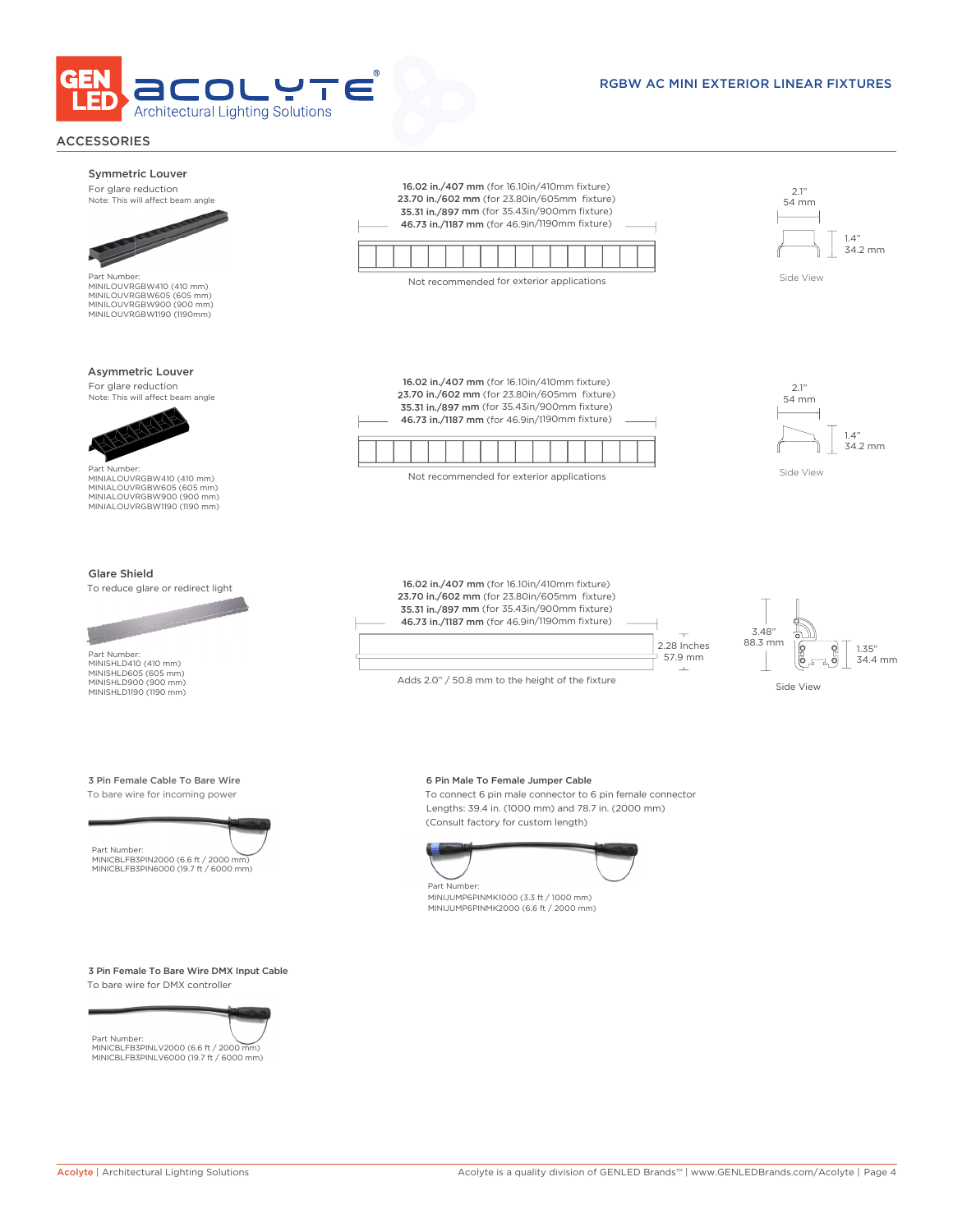

# RGBW AC MINI EXTERIOR LINEAR FIXTURES

# ACCESSORIES